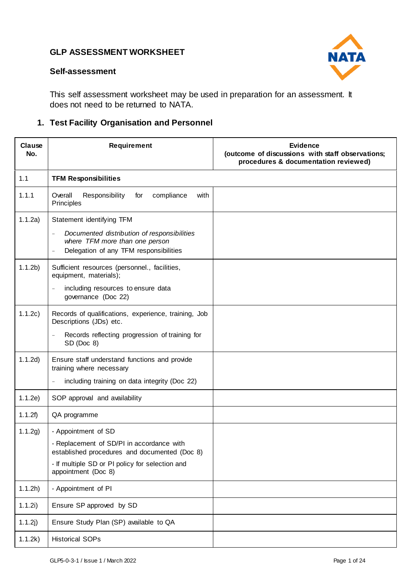

#### **Self-assessment**

This self assessment worksheet may be used in preparation for an assessment. It does not need to be returned to NATA.

### **1. Test Facility Organisation and Personnel**

| Clause<br>No.      | Requirement                                                                                          | <b>Evidence</b><br>(outcome of discussions with staff observations;<br>procedures & documentation reviewed) |
|--------------------|------------------------------------------------------------------------------------------------------|-------------------------------------------------------------------------------------------------------------|
| 1.1                | <b>TFM Responsibilities</b>                                                                          |                                                                                                             |
| 1.1.1              | Responsibility<br>Overall<br>compliance<br>with<br>for<br>Principles                                 |                                                                                                             |
| 1.1.2a)            | Statement identifying TFM<br>Documented distribution of responsibilities<br>$\overline{\phantom{0}}$ |                                                                                                             |
|                    | where TFM more than one person<br>Delegation of any TFM responsibilities                             |                                                                                                             |
| 1.1.2 <sub>b</sub> | Sufficient resources (personnel., facilities,<br>equipment, materials);                              |                                                                                                             |
|                    | including resources to ensure data<br>$\overline{\phantom{a}}$<br>governance (Doc 22)                |                                                                                                             |
| 1.1.2c)            | Records of qualifications, experience, training, Job<br>Descriptions (JDs) etc.                      |                                                                                                             |
|                    | Records reflecting progression of training for<br>SD (Doc 8)                                         |                                                                                                             |
| 1.1.2d)            | Ensure staff understand functions and provide<br>training where necessary                            |                                                                                                             |
|                    | including training on data integrity (Doc 22)                                                        |                                                                                                             |
| 1.1.2e)            | SOP approval and availability                                                                        |                                                                                                             |
| 1.1.2f)            | QA programme                                                                                         |                                                                                                             |
| 1.1.2g)            | - Appointment of SD                                                                                  |                                                                                                             |
|                    | - Replacement of SD/PI in accordance with<br>established procedures and documented (Doc 8)           |                                                                                                             |
|                    | - If multiple SD or PI policy for selection and<br>appointment (Doc 8)                               |                                                                                                             |
| 1.1.2h)            | - Appointment of PI                                                                                  |                                                                                                             |
| 1.1.2i)            | Ensure SP approved by SD                                                                             |                                                                                                             |
| 1.1.2j)            | Ensure Study Plan (SP) available to QA                                                               |                                                                                                             |
| 1.1.2k)            | <b>Historical SOPs</b>                                                                               |                                                                                                             |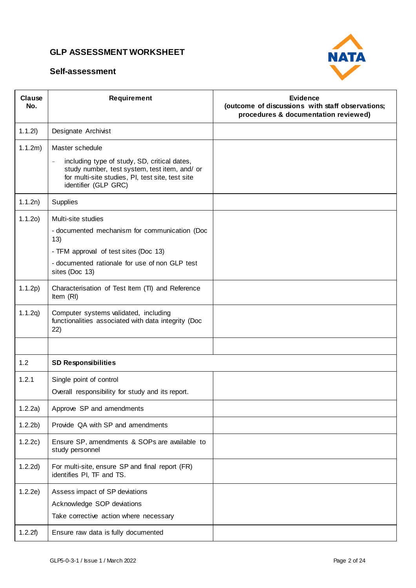

| Clause<br>No.      | Requirement                                                                                                                                                                                                              | Evidence<br>(outcome of discussions with staff observations;<br>procedures & documentation reviewed) |
|--------------------|--------------------------------------------------------------------------------------------------------------------------------------------------------------------------------------------------------------------------|------------------------------------------------------------------------------------------------------|
| 1.1.21)            | Designate Archivist                                                                                                                                                                                                      |                                                                                                      |
| 1.1.2m)            | Master schedule<br>including type of study, SD, critical dates,<br>$\overline{\phantom{a}}$<br>study number, test system, test item, and/ or<br>for multi-site studies, PI, test site, test site<br>identifier (GLP GRC) |                                                                                                      |
| 1.1.2n)            | Supplies                                                                                                                                                                                                                 |                                                                                                      |
| 1.1.20             | Multi-site studies<br>- documented mechanism for communication (Doc<br>13)<br>- TFM approval of test sites (Doc 13)<br>- documented rationale for use of non GLP test<br>sites (Doc 13)                                  |                                                                                                      |
| 1.1.2p)            | Characterisation of Test Item (TI) and Reference<br>Item (RI)                                                                                                                                                            |                                                                                                      |
| 1.1.2q)            | Computer systems validated, including<br>functionalities associated with data integrity (Doc<br>22)                                                                                                                      |                                                                                                      |
|                    |                                                                                                                                                                                                                          |                                                                                                      |
| 1.2                | <b>SD Responsibilities</b>                                                                                                                                                                                               |                                                                                                      |
| 1.2.1              | Single point of control<br>Overall responsibility for study and its report.                                                                                                                                              |                                                                                                      |
| 1.2.2a)            | Approve SP and amendments                                                                                                                                                                                                |                                                                                                      |
| 1.2.2 <sub>b</sub> | Provide QA with SP and amendments                                                                                                                                                                                        |                                                                                                      |
| 1.2.2c)            | Ensure SP, amendments & SOPs are available to<br>study personnel                                                                                                                                                         |                                                                                                      |
| 1.2.2d)            | For multi-site, ensure SP and final report (FR)<br>identifies PI, TF and TS.                                                                                                                                             |                                                                                                      |
| 1.2.2e)            | Assess impact of SP deviations<br>Acknowledge SOP deviations<br>Take corrective action where necessary                                                                                                                   |                                                                                                      |
| 1.2.2f)            | Ensure raw data is fully documented                                                                                                                                                                                      |                                                                                                      |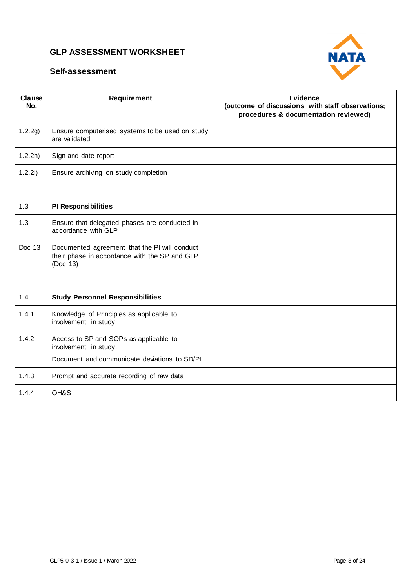

| Clause<br>No. | Requirement                                                                                                | <b>Evidence</b><br>(outcome of discussions with staff observations;<br>procedures & documentation reviewed) |
|---------------|------------------------------------------------------------------------------------------------------------|-------------------------------------------------------------------------------------------------------------|
| 1.2.2g)       | Ensure computerised systems to be used on study<br>are validated                                           |                                                                                                             |
| 1.2.2h)       | Sign and date report                                                                                       |                                                                                                             |
| 1.2.2i)       | Ensure archiving on study completion                                                                       |                                                                                                             |
|               |                                                                                                            |                                                                                                             |
| 1.3           | <b>PI Responsibilities</b>                                                                                 |                                                                                                             |
| 1.3           | Ensure that delegated phases are conducted in<br>accordance with GLP                                       |                                                                                                             |
| Doc 13        | Documented agreement that the PI will conduct<br>their phase in accordance with the SP and GLP<br>(Doc 13) |                                                                                                             |
|               |                                                                                                            |                                                                                                             |
| 1.4           | <b>Study Personnel Responsibilities</b>                                                                    |                                                                                                             |
| 1.4.1         | Knowledge of Principles as applicable to<br>involvement in study                                           |                                                                                                             |
| 1.4.2         | Access to SP and SOPs as applicable to<br>involvement in study,                                            |                                                                                                             |
|               | Document and communicate deviations to SD/PI                                                               |                                                                                                             |
| 1.4.3         | Prompt and accurate recording of raw data                                                                  |                                                                                                             |
| 1.4.4         | OH&S                                                                                                       |                                                                                                             |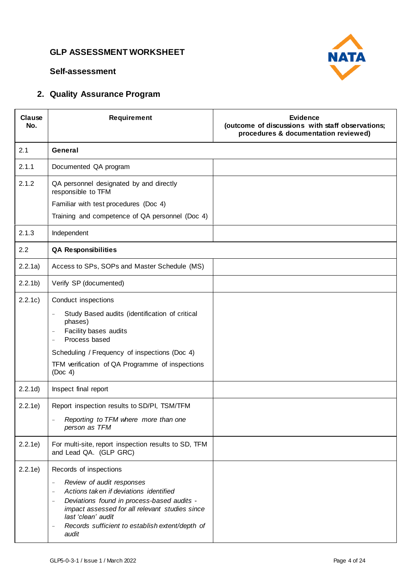

#### **Self-assessment**

# **2. Quality Assurance Program**

| Clause<br>No.      | Requirement                                                                                                                                                                                                                                                                                                                                                  | <b>Evidence</b><br>(outcome of discussions with staff observations;<br>procedures & documentation reviewed) |
|--------------------|--------------------------------------------------------------------------------------------------------------------------------------------------------------------------------------------------------------------------------------------------------------------------------------------------------------------------------------------------------------|-------------------------------------------------------------------------------------------------------------|
| 2.1                | General                                                                                                                                                                                                                                                                                                                                                      |                                                                                                             |
| 2.1.1              | Documented QA program                                                                                                                                                                                                                                                                                                                                        |                                                                                                             |
| 2.1.2              | QA personnel designated by and directly<br>responsible to TFM<br>Familiar with test procedures (Doc 4)<br>Training and competence of QA personnel (Doc 4)                                                                                                                                                                                                    |                                                                                                             |
| 2.1.3              | Independent                                                                                                                                                                                                                                                                                                                                                  |                                                                                                             |
| 2.2                | <b>QA Responsibilities</b>                                                                                                                                                                                                                                                                                                                                   |                                                                                                             |
| 2.2.1a)            | Access to SPs, SOPs and Master Schedule (MS)                                                                                                                                                                                                                                                                                                                 |                                                                                                             |
| 2.2.1 <sub>b</sub> | Verify SP (documented)                                                                                                                                                                                                                                                                                                                                       |                                                                                                             |
| 2.2.1c)            | Conduct inspections<br>Study Based audits (identification of critical<br>phases)<br>Facility bases audits<br>$\overline{\phantom{a}}$<br>Process based<br>$\sim$<br>Scheduling / Frequency of inspections (Doc 4)<br>TFM verification of QA Programme of inspections<br>(Doc 4)                                                                              |                                                                                                             |
| 2.2.1d)            | Inspect final report                                                                                                                                                                                                                                                                                                                                         |                                                                                                             |
| 2.2.1e)            | Report inspection results to SD/PI, TSM/TFM<br>Reporting to TFM where more than one<br>person as TFM                                                                                                                                                                                                                                                         |                                                                                                             |
| 2.2.1e)            | For multi-site, report inspection results to SD, TFM<br>and Lead QA. (GLP GRC)                                                                                                                                                                                                                                                                               |                                                                                                             |
| 2.2.1e)            | Records of inspections<br>Review of audit responses<br>$\overline{\phantom{a}}$<br>Actions taken if deviations identified<br>Deviations found in process-based audits -<br>$\overline{\phantom{a}}$<br>impact assessed for all relevant studies since<br>last 'clean' audit<br>Records sufficient to establish extent/depth of<br>$\qquad \qquad -$<br>audit |                                                                                                             |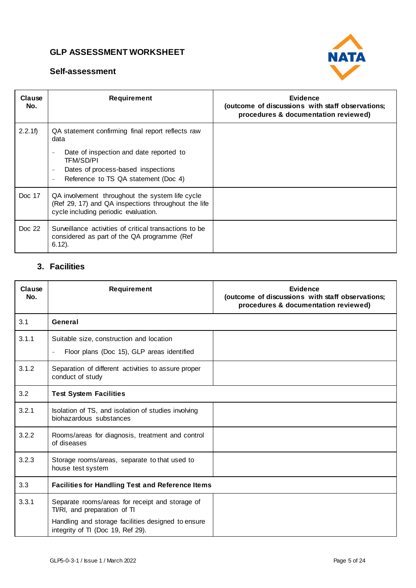



| Clause<br>No. | <b>Requirement</b>                                                                                                                             | Evidence<br>(outcome of discussions with staff observations;<br>procedures & documentation reviewed) |
|---------------|------------------------------------------------------------------------------------------------------------------------------------------------|------------------------------------------------------------------------------------------------------|
| 2.2.1f)       | QA statement confirming final report reflects raw<br>data                                                                                      |                                                                                                      |
|               | Date of inspection and date reported to<br>TFM/SD/PI<br>Dates of process-based inspections<br>Reference to TS QA statement (Doc 4)             |                                                                                                      |
| Doc 17        | QA involvement throughout the system life cycle<br>(Ref 29, 17) and QA inspections throughout the life<br>cycle including periodic evaluation. |                                                                                                      |
| Doc 22        | Surveillance activities of critical transactions to be<br>considered as part of the QA programme (Ref<br>$6.12$ ).                             |                                                                                                      |

# **3. Facilities**

| Clause<br>No. | <b>Requirement</b>                                                                      | Evidence<br>(outcome of discussions with staff observations;<br>procedures & documentation reviewed) |
|---------------|-----------------------------------------------------------------------------------------|------------------------------------------------------------------------------------------------------|
| 3.1           | General                                                                                 |                                                                                                      |
| 3.1.1         | Suitable size, construction and location                                                |                                                                                                      |
|               | Floor plans (Doc 15), GLP areas identified<br>$\equiv$                                  |                                                                                                      |
| 3.1.2         | Separation of different activities to assure proper<br>conduct of study                 |                                                                                                      |
| 3.2           | <b>Test System Facilities</b>                                                           |                                                                                                      |
| 3.2.1         | Isolation of TS, and isolation of studies involving<br>biohazardous substances          |                                                                                                      |
| 3.2.2         | Rooms/areas for diagnosis, treatment and control<br>of diseases                         |                                                                                                      |
| 3.2.3         | Storage rooms/areas, separate to that used to<br>house test system                      |                                                                                                      |
| 3.3           | <b>Facilities for Handling Test and Reference Items</b>                                 |                                                                                                      |
| 3.3.1         | Separate rooms/areas for receipt and storage of<br>TI/RI, and preparation of TI         |                                                                                                      |
|               | Handling and storage facilities designed to ensure<br>integrity of TI (Doc 19, Ref 29). |                                                                                                      |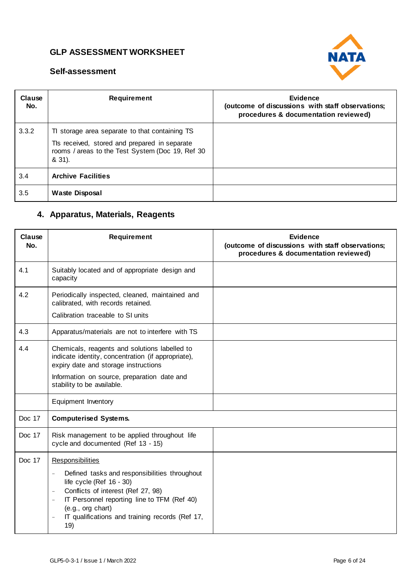

#### **Self-assessment**

| Clause<br>No. | <b>Requirement</b>                                                                                                                                            | Evidence<br>(outcome of discussions with staff observations;<br>procedures & documentation reviewed) |
|---------------|---------------------------------------------------------------------------------------------------------------------------------------------------------------|------------------------------------------------------------------------------------------------------|
| 3.3.2         | To storage area separate to that containing TS<br>TIs received, stored and prepared in separate<br>rooms / areas to the Test System (Doc 19, Ref 30<br>& 31). |                                                                                                      |
| 3.4           | <b>Archive Facilities</b>                                                                                                                                     |                                                                                                      |
| 3.5           | <b>Waste Disposal</b>                                                                                                                                         |                                                                                                      |

# **4. Apparatus, Materials, Reagents**

| Clause<br>No. | <b>Requirement</b>                                                                                                                                                                                                                                                                                                                                              | Evidence<br>(outcome of discussions with staff observations;<br>procedures & documentation reviewed) |
|---------------|-----------------------------------------------------------------------------------------------------------------------------------------------------------------------------------------------------------------------------------------------------------------------------------------------------------------------------------------------------------------|------------------------------------------------------------------------------------------------------|
| 4.1           | Suitably located and of appropriate design and<br>capacity                                                                                                                                                                                                                                                                                                      |                                                                                                      |
| 4.2           | Periodically inspected, cleaned, maintained and<br>calibrated, with records retained.<br>Calibration traceable to SI units                                                                                                                                                                                                                                      |                                                                                                      |
|               |                                                                                                                                                                                                                                                                                                                                                                 |                                                                                                      |
| 4.3           | Apparatus/materials are not to interfere with TS                                                                                                                                                                                                                                                                                                                |                                                                                                      |
| 4.4           | Chemicals, reagents and solutions labelled to<br>indicate identity, concentration (if appropriate),<br>expiry date and storage instructions<br>Information on source, preparation date and                                                                                                                                                                      |                                                                                                      |
|               | stability to be available.                                                                                                                                                                                                                                                                                                                                      |                                                                                                      |
|               | Equipment Inventory                                                                                                                                                                                                                                                                                                                                             |                                                                                                      |
| Doc 17        | <b>Computerised Systems.</b>                                                                                                                                                                                                                                                                                                                                    |                                                                                                      |
| Doc 17        | Risk management to be applied throughout life<br>cycle and documented (Ref 13 - 15)                                                                                                                                                                                                                                                                             |                                                                                                      |
| Doc 17        | <b>Responsibilities</b><br>Defined tasks and responsibilities throughout<br>$\overline{\phantom{a}}$<br>life cycle (Ref $16 - 30$ )<br>Conflicts of interest (Ref 27, 98)<br>$\overline{\phantom{a}}$<br>IT Personnel reporting line to TFM (Ref 40)<br>$\overline{\phantom{a}}$<br>(e.g., org chart)<br>IT qualifications and training records (Ref 17,<br>19) |                                                                                                      |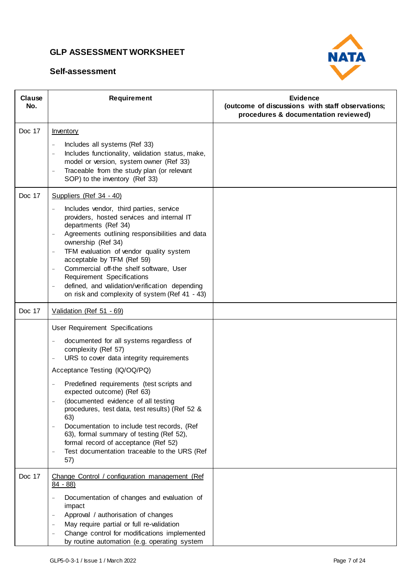

| Clause<br>No. | <b>Requirement</b>                                                                                                                                                                                                                                                                                                                                                                                                                                                                                                                                                                           | <b>Evidence</b><br>(outcome of discussions with staff observations;<br>procedures & documentation reviewed) |
|---------------|----------------------------------------------------------------------------------------------------------------------------------------------------------------------------------------------------------------------------------------------------------------------------------------------------------------------------------------------------------------------------------------------------------------------------------------------------------------------------------------------------------------------------------------------------------------------------------------------|-------------------------------------------------------------------------------------------------------------|
| Doc 17        | Inventory<br>Includes all systems (Ref 33)<br>$\overline{\phantom{a}}$<br>Includes functionality, validation status, make,<br>model or version, system owner (Ref 33)<br>Traceable from the study plan (or relevant<br>SOP) to the inventory (Ref 33)                                                                                                                                                                                                                                                                                                                                        |                                                                                                             |
| Doc 17        | Suppliers (Ref 34 - 40)<br>Includes vendor, third parties, service<br>providers, hosted services and internal IT<br>departments (Ref 34)<br>Agreements outlining responsibilities and data<br>$\overline{\phantom{a}}$<br>ownership (Ref 34)<br>TFM evaluation of vendor quality system<br>$\overline{\phantom{a}}$<br>acceptable by TFM (Ref 59)<br>Commercial off-the shelf software, User<br>$\overline{\phantom{a}}$<br>Requirement Specifications<br>defined, and validation/verification depending<br>$\overline{\phantom{a}}$<br>on risk and complexity of system (Ref 41 - 43)       |                                                                                                             |
| Doc 17        | Validation (Ref 51 - 69)                                                                                                                                                                                                                                                                                                                                                                                                                                                                                                                                                                     |                                                                                                             |
|               | User Requirement Specifications<br>documented for all systems regardless of<br>$\equiv$<br>complexity (Ref 57)<br>URS to cover data integrity requirements<br>$\overline{\phantom{a}}$<br>Acceptance Testing (IQ/OQ/PQ)<br>Predefined requirements (test scripts and<br>expected outcome) (Ref 63)<br>(documented evidence of all testing<br>procedures, test data, test results) (Ref 52 &<br>63)<br>Documentation to include test records, (Ref<br>63), formal summary of testing (Ref 52),<br>formal record of acceptance (Ref 52)<br>Test documentation traceable to the URS (Ref<br>57) |                                                                                                             |
| Doc 17        | Change Control / configuration management (Ref<br>$84 - 88$<br>Documentation of changes and evaluation of<br>impact<br>Approval / authorisation of changes<br>May require partial or full re-validation<br>Change control for modifications implemented<br>by routine automation (e.g. operating system                                                                                                                                                                                                                                                                                      |                                                                                                             |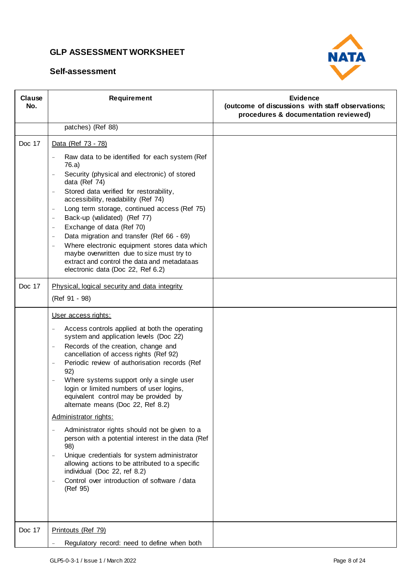

| Clause<br>No. | <b>Requirement</b>                                                                                                                                                                                                                                                                                                                                                                                                                                                                                                                                                                                                                                                                                                                                                                                                                                                                           | <b>Evidence</b><br>(outcome of discussions with staff observations;<br>procedures & documentation reviewed) |
|---------------|----------------------------------------------------------------------------------------------------------------------------------------------------------------------------------------------------------------------------------------------------------------------------------------------------------------------------------------------------------------------------------------------------------------------------------------------------------------------------------------------------------------------------------------------------------------------------------------------------------------------------------------------------------------------------------------------------------------------------------------------------------------------------------------------------------------------------------------------------------------------------------------------|-------------------------------------------------------------------------------------------------------------|
|               | patches) (Ref 88)                                                                                                                                                                                                                                                                                                                                                                                                                                                                                                                                                                                                                                                                                                                                                                                                                                                                            |                                                                                                             |
| Doc 17        | Data (Ref 73 - 78)                                                                                                                                                                                                                                                                                                                                                                                                                                                                                                                                                                                                                                                                                                                                                                                                                                                                           |                                                                                                             |
|               | Raw data to be identified for each system (Ref<br>76.a)<br>Security (physical and electronic) of stored<br>$\blacksquare$<br>data (Ref 74)<br>Stored data verified for restorability,<br>$\equiv$<br>accessibility, readability (Ref 74)<br>Long term storage, continued access (Ref 75)<br>$\overline{\phantom{a}}$<br>Back-up (validated) (Ref 77)<br>$\overline{\phantom{a}}$<br>Exchange of data (Ref 70)<br>$\qquad \qquad -$<br>Data migration and transfer (Ref 66 - 69)<br>$\overline{\phantom{a}}$<br>Where electronic equipment stores data which<br>$\blacksquare$<br>maybe overwritten due to size must try to<br>extract and control the data and metadataas<br>electronic data (Doc 22, Ref 6.2)                                                                                                                                                                               |                                                                                                             |
| Doc 17        | Physical, logical security and data integrity<br>(Ref 91 - 98)                                                                                                                                                                                                                                                                                                                                                                                                                                                                                                                                                                                                                                                                                                                                                                                                                               |                                                                                                             |
|               | User access rights:<br>Access controls applied at both the operating<br>$\qquad \qquad -$<br>system and application levels (Doc 22)<br>Records of the creation, change and<br>$\blacksquare$<br>cancellation of access rights (Ref 92)<br>Periodic review of authorisation records (Ref<br>$\overline{\phantom{a}}$<br>92)<br>Where systems support only a single user<br>$\overline{\phantom{a}}$<br>login or limited numbers of user logins,<br>equivalent control may be provided by<br>alternate means (Doc 22, Ref 8.2)<br>Administrator rights:<br>Administrator rights should not be given to a<br>person with a potential interest in the data (Ref<br>98)<br>Unique credentials for system administrator<br>$\overline{\phantom{a}}$<br>allowing actions to be attributed to a specific<br>individual (Doc 22, ref 8.2)<br>Control over introduction of software / data<br>(Ref 95) |                                                                                                             |
| Doc 17        | Printouts (Ref 79)<br>Regulatory record: need to define when both                                                                                                                                                                                                                                                                                                                                                                                                                                                                                                                                                                                                                                                                                                                                                                                                                            |                                                                                                             |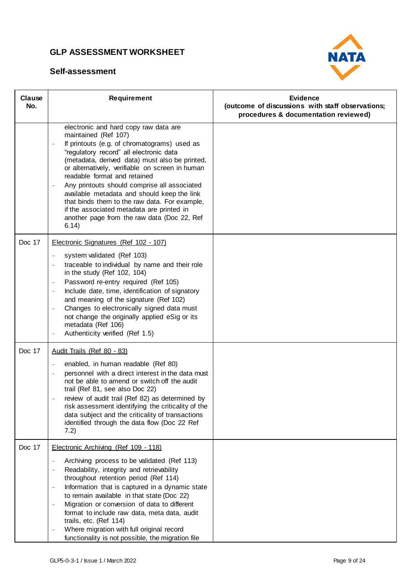

| Clause<br>No. | <b>Requirement</b>                                                                                                                                                                                                                                                                                                                                                                                                                                                                                                                                                                                     | <b>Evidence</b><br>(outcome of discussions with staff observations;<br>procedures & documentation reviewed) |
|---------------|--------------------------------------------------------------------------------------------------------------------------------------------------------------------------------------------------------------------------------------------------------------------------------------------------------------------------------------------------------------------------------------------------------------------------------------------------------------------------------------------------------------------------------------------------------------------------------------------------------|-------------------------------------------------------------------------------------------------------------|
|               | electronic and hard copy raw data are<br>maintained (Ref 107)<br>If printouts (e.g. of chromatograms) used as<br>$\qquad \qquad -$<br>"regulatory record" all electronic data<br>(metadata, derived data) must also be printed,<br>or alternatively, verifiable on screen in human<br>readable format and retained<br>Any printouts should comprise all associated<br>available metadata and should keep the link<br>that binds them to the raw data. For example,<br>if the associated metadata are printed in<br>another page from the raw data (Doc 22, Ref<br>6.14)                                |                                                                                                             |
| Doc 17        | Electronic Signatures (Ref 102 - 107)<br>system validated (Ref 103)<br>traceable to individual by name and their role<br>in the study (Ref 102, 104)<br>Password re-entry required (Ref 105)<br>$\overline{\phantom{a}}$<br>Include date, time, identification of signatory<br>$\overline{\phantom{a}}$<br>and meaning of the signature (Ref 102)<br>Changes to electronically signed data must<br>$\blacksquare$<br>not change the originally applied eSig or its<br>metadata (Ref 106)<br>Authenticity verified (Ref 1.5)                                                                            |                                                                                                             |
| Doc 17        | Audit Trails (Ref 80 - 83)<br>enabled, in human readable (Ref 80)<br>$\overline{\phantom{a}}$<br>personnel with a direct interest in the data must<br>not be able to amend or switch off the audit<br>trail (Ref 81, see also Doc 22)<br>review of audit trail (Ref 82) as determined by<br>risk assessment identifying the criticality of the<br>data subject and the criticality of transactions<br>identified through the data flow (Doc 22 Ref<br>7.2)                                                                                                                                             |                                                                                                             |
| Doc 17        | Electronic Archiving (Ref 109 - 118)<br>Archiving process to be validated (Ref 113)<br>Readability, integrity and retrievability<br>$\overline{\phantom{a}}$<br>throughout retention period (Ref 114)<br>Information that is captured in a dynamic state<br>$\overline{\phantom{a}}$<br>to remain available in that state (Doc 22)<br>Migration or conversion of data to different<br>$\equiv$<br>format to include raw data, meta data, audit<br>trails, etc. (Ref 114)<br>Where migration with full original record<br>$\overline{\phantom{a}}$<br>functionality is not possible, the migration file |                                                                                                             |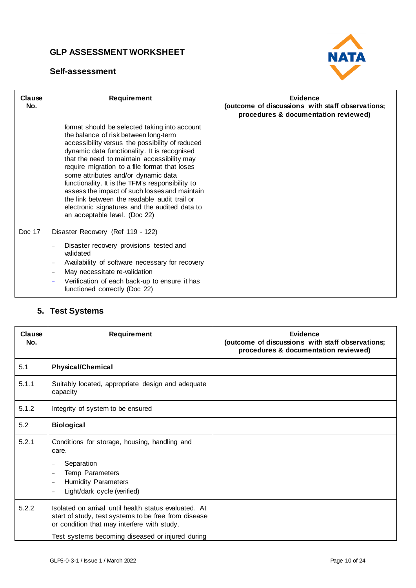#### **Self-assessment**



| Clause<br>No. | Requirement                                                                                                                                                                                                                                                                                                                                                                                                                                                                                                                                                             | Evidence<br>(outcome of discussions with staff observations;<br>procedures & documentation reviewed) |
|---------------|-------------------------------------------------------------------------------------------------------------------------------------------------------------------------------------------------------------------------------------------------------------------------------------------------------------------------------------------------------------------------------------------------------------------------------------------------------------------------------------------------------------------------------------------------------------------------|------------------------------------------------------------------------------------------------------|
|               | format should be selected taking into account<br>the balance of risk between long-term<br>accessibility versus the possibility of reduced<br>dynamic data functionality. It is recognised<br>that the need to maintain accessibility may<br>require migration to a file format that loses<br>some attributes and/or dynamic data<br>functionality. It is the TFM's responsibility to<br>assess the impact of such losses and maintain<br>the link between the readable audit trail or<br>electronic signatures and the audited data to<br>an acceptable level. (Doc 22) |                                                                                                      |
| Doc 17        | Disaster Recovery (Ref 119 - 122)<br>Disaster recovery provisions tested and<br>validated<br>Availability of software necessary for recovery<br>May necessitate re-validation<br>$\overline{\phantom{a}}$<br>Verification of each back-up to ensure it has<br>$\equiv$<br>functioned correctly (Doc 22)                                                                                                                                                                                                                                                                 |                                                                                                      |

# **5. Test Systems**

| Clause<br>No. | <b>Requirement</b>                                                                                                                                                                                                                                     | Evidence<br>(outcome of discussions with staff observations;<br>procedures & documentation reviewed) |
|---------------|--------------------------------------------------------------------------------------------------------------------------------------------------------------------------------------------------------------------------------------------------------|------------------------------------------------------------------------------------------------------|
| 5.1           | <b>Physical/Chemical</b>                                                                                                                                                                                                                               |                                                                                                      |
| 5.1.1         | Suitably located, appropriate design and adequate<br>capacity                                                                                                                                                                                          |                                                                                                      |
| 5.1.2         | Integrity of system to be ensured                                                                                                                                                                                                                      |                                                                                                      |
| 5.2           | <b>Biological</b>                                                                                                                                                                                                                                      |                                                                                                      |
| 5.2.1         | Conditions for storage, housing, handling and<br>care.<br>Separation<br>$\qquad \qquad -$<br>Temp Parameters<br>$\overline{\phantom{0}}$<br><b>Humidity Parameters</b><br>$\overline{\phantom{a}}$<br>Light/dark cycle (verified)<br>$\qquad \qquad -$ |                                                                                                      |
| 5.2.2         | Isolated on arrival until health status evaluated. At<br>start of study, test systems to be free from disease<br>or condition that may interfere with study.<br>Test systems becoming diseased or injured during                                       |                                                                                                      |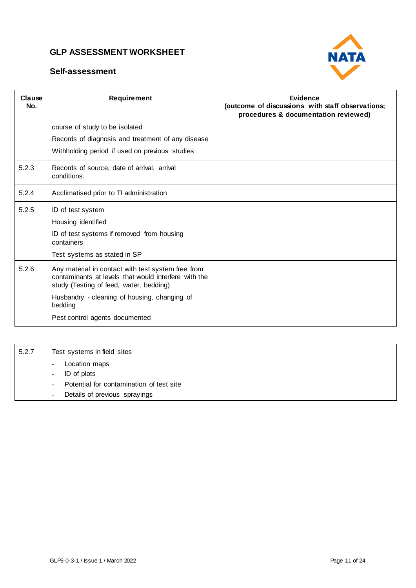



| Clause<br>No. | <b>Requirement</b>                                                                                                                                    | Evidence<br>(outcome of discussions with staff observations;<br>procedures & documentation reviewed) |
|---------------|-------------------------------------------------------------------------------------------------------------------------------------------------------|------------------------------------------------------------------------------------------------------|
|               | course of study to be isolated                                                                                                                        |                                                                                                      |
|               | Records of diagnosis and treatment of any disease                                                                                                     |                                                                                                      |
|               | Withholding period if used on previous studies                                                                                                        |                                                                                                      |
| 5.2.3         | Records of source, date of arrival, arrival<br>conditions.                                                                                            |                                                                                                      |
| 5.2.4         | Acclimatised prior to TI administration                                                                                                               |                                                                                                      |
| 5.2.5         | ID of test system                                                                                                                                     |                                                                                                      |
|               | Housing identified                                                                                                                                    |                                                                                                      |
|               | ID of test systems if removed from housing<br>containers                                                                                              |                                                                                                      |
|               | Test systems as stated in SP                                                                                                                          |                                                                                                      |
| 5.2.6         | Any material in contact with test system free from<br>contaminants at levels that would interfere with the<br>study (Testing of feed, water, bedding) |                                                                                                      |
|               | Husbandry - cleaning of housing, changing of<br>bedding                                                                                               |                                                                                                      |
|               | Pest control agents documented                                                                                                                        |                                                                                                      |

| 5.2.7 | Test systems in field sites                                                                                                       |
|-------|-----------------------------------------------------------------------------------------------------------------------------------|
|       | Location maps<br>$\overline{\phantom{0}}$<br>ID of plots<br>$\overline{\phantom{0}}$                                              |
|       | Potential for contamination of test site<br>$\overline{\phantom{0}}$<br>Details of previous sprayings<br>$\overline{\phantom{0}}$ |
|       |                                                                                                                                   |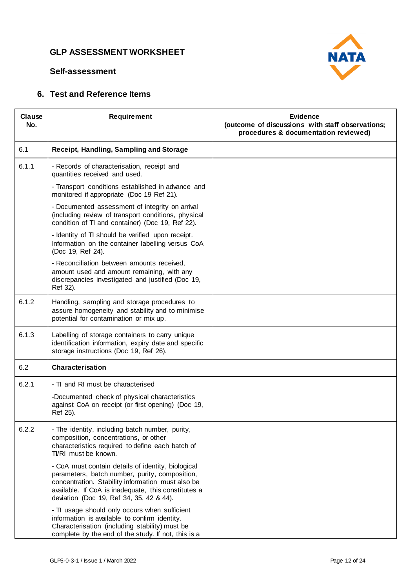



### **6. Test and Reference Items**

| Clause<br>No. | Requirement                                                                                                                                                                                                                                                  | <b>Evidence</b><br>(outcome of discussions with staff observations;<br>procedures & documentation reviewed) |
|---------------|--------------------------------------------------------------------------------------------------------------------------------------------------------------------------------------------------------------------------------------------------------------|-------------------------------------------------------------------------------------------------------------|
| 6.1           | Receipt, Handling, Sampling and Storage                                                                                                                                                                                                                      |                                                                                                             |
| 6.1.1         | - Records of characterisation, receipt and<br>quantities received and used.                                                                                                                                                                                  |                                                                                                             |
|               | - Transport conditions established in advance and<br>monitored if appropriate (Doc 19 Ref 21).                                                                                                                                                               |                                                                                                             |
|               | - Documented assessment of integrity on arrival<br>(including review of transport conditions, physical<br>condition of TI and container) (Doc 19, Ref 22).                                                                                                   |                                                                                                             |
|               | - Identity of TI should be verified upon receipt.<br>Information on the container labelling versus CoA<br>(Doc 19, Ref 24).                                                                                                                                  |                                                                                                             |
|               | - Reconciliation between amounts received,<br>amount used and amount remaining, with any<br>discrepancies investigated and justified (Doc 19,<br>Ref 32).                                                                                                    |                                                                                                             |
| 6.1.2         | Handling, sampling and storage procedures to<br>assure homogeneity and stability and to minimise<br>potential for contamination or mix up.                                                                                                                   |                                                                                                             |
| 6.1.3         | Labelling of storage containers to carry unique<br>identification information, expiry date and specific<br>storage instructions (Doc 19, Ref 26).                                                                                                            |                                                                                                             |
| 6.2           | Characterisation                                                                                                                                                                                                                                             |                                                                                                             |
| 6.2.1         | - TI and RI must be characterised                                                                                                                                                                                                                            |                                                                                                             |
|               | -Documented check of physical characteristics<br>against CoA on receipt (or first opening) (Doc 19,<br>Ref 25).                                                                                                                                              |                                                                                                             |
| 6.2.2         | - The identity, including batch number, purity,<br>composition, concentrations, or other<br>characteristics required to define each batch of<br>TI/RI must be known.                                                                                         |                                                                                                             |
|               | - CoA must contain details of identity, biological<br>parameters, batch number, purity, composition,<br>concentration. Stability information must also be<br>available. If CoA is inadequate, this constitutes a<br>deviation (Doc 19, Ref 34, 35, 42 & 44). |                                                                                                             |
|               | - TI usage should only occurs when sufficient<br>information is available to confirm identity.<br>Characterisation (including stability) must be<br>complete by the end of the study. If not, this is a                                                      |                                                                                                             |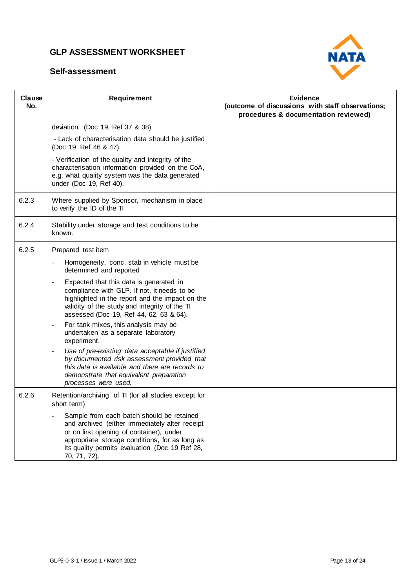

| Clause<br>No. | Requirement                                                                                                                                                                                                                                                                             | <b>Evidence</b><br>(outcome of discussions with staff observations;<br>procedures & documentation reviewed) |
|---------------|-----------------------------------------------------------------------------------------------------------------------------------------------------------------------------------------------------------------------------------------------------------------------------------------|-------------------------------------------------------------------------------------------------------------|
|               | deviation. (Doc 19, Ref 37 & 38)                                                                                                                                                                                                                                                        |                                                                                                             |
|               | - Lack of characterisation data should be justified<br>(Doc 19, Ref 46 & 47).                                                                                                                                                                                                           |                                                                                                             |
|               | - Verification of the quality and integrity of the<br>characterisation information provided on the CoA,<br>e.g. what quality system was the data generated<br>under (Doc 19, Ref 40).                                                                                                   |                                                                                                             |
| 6.2.3         | Where supplied by Sponsor, mechanism in place<br>to verify the ID of the TI                                                                                                                                                                                                             |                                                                                                             |
| 6.2.4         | Stability under storage and test conditions to be<br>known.                                                                                                                                                                                                                             |                                                                                                             |
| 6.2.5         | Prepared test item                                                                                                                                                                                                                                                                      |                                                                                                             |
|               | Homogeneity, conc, stab in vehicle must be<br>determined and reported                                                                                                                                                                                                                   |                                                                                                             |
|               | Expected that this data is generated in<br>$\blacksquare$<br>compliance with GLP. If not, it needs to be<br>highlighted in the report and the impact on the<br>validity of the study and integrity of the TI<br>assessed (Doc 19, Ref 44, 62, 63 & 64).                                 |                                                                                                             |
|               | For tank mixes, this analysis may be<br>$\overline{\phantom{a}}$<br>undertaken as a separate laboratory<br>experiment.                                                                                                                                                                  |                                                                                                             |
|               | Use of pre-existing data acceptable if justified<br>by documented risk assessment provided that<br>this data is available and there are records to<br>demonstrate that equivalent preparation<br>processes were used.                                                                   |                                                                                                             |
| 6.2.6         | Retention/archiving of TI (for all studies except for<br>short term)                                                                                                                                                                                                                    |                                                                                                             |
|               | Sample from each batch should be retained<br>$\overline{\phantom{a}}$<br>and archived (either immediately after receipt<br>or on first opening of container), under<br>appropriate storage conditions, for as long as<br>its quality permits evaluation (Doc 19 Ref 28,<br>70, 71, 72). |                                                                                                             |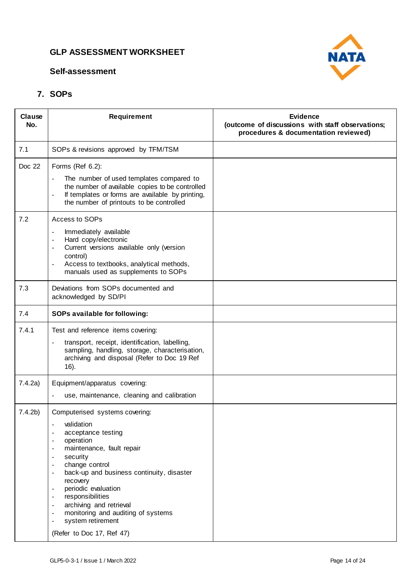#### **Self-assessment**



### **7. SOPs**

| Clause<br>No.      | Requirement                                                                                                                                                                                                                                                                                                                                                                                                                                                                                                 | <b>Evidence</b><br>(outcome of discussions with staff observations;<br>procedures & documentation reviewed) |
|--------------------|-------------------------------------------------------------------------------------------------------------------------------------------------------------------------------------------------------------------------------------------------------------------------------------------------------------------------------------------------------------------------------------------------------------------------------------------------------------------------------------------------------------|-------------------------------------------------------------------------------------------------------------|
| 7.1                | SOPs & revisions approved by TFM/TSM                                                                                                                                                                                                                                                                                                                                                                                                                                                                        |                                                                                                             |
| Doc 22             | Forms (Ref 6.2):<br>The number of used templates compared to<br>$\bar{\phantom{a}}$<br>the number of available copies to be controlled<br>If templates or forms are available by printing,<br>$\overline{a}$<br>the number of printouts to be controlled                                                                                                                                                                                                                                                    |                                                                                                             |
| 7.2                | Access to SOPs<br>Immediately available<br>$\bar{\phantom{a}}$<br>Hard copy/electronic<br>$\blacksquare$<br>Current versions available only (version<br>$\overline{\phantom{a}}$<br>control)<br>Access to textbooks, analytical methods,<br>$\overline{a}$<br>manuals used as supplements to SOPs                                                                                                                                                                                                           |                                                                                                             |
| 7.3                | Deviations from SOPs documented and<br>acknowledged by SD/PI                                                                                                                                                                                                                                                                                                                                                                                                                                                |                                                                                                             |
| 7.4                | SOPs available for following:                                                                                                                                                                                                                                                                                                                                                                                                                                                                               |                                                                                                             |
| 7.4.1              | Test and reference items covering:<br>transport, receipt, identification, labelling,<br>$\overline{\phantom{a}}$<br>sampling, handling, storage, characterisation,<br>archiving and disposal (Refer to Doc 19 Ref<br>16).                                                                                                                                                                                                                                                                                   |                                                                                                             |
| 7.4.2a)            | Equipment/apparatus covering:<br>use, maintenance, cleaning and calibration<br>$\bar{\phantom{a}}$                                                                                                                                                                                                                                                                                                                                                                                                          |                                                                                                             |
| 7.4.2 <sub>b</sub> | Computerised systems covering:<br>validation<br>acceptance testing<br>$\blacksquare$<br>operation<br>$\overline{\phantom{a}}$<br>maintenance, fault repair<br>$\blacksquare$<br>security<br>$\blacksquare$<br>change control<br>$\overline{\phantom{a}}$<br>back-up and business continuity, disaster<br>$\overline{\phantom{a}}$<br>recovery<br>periodic evaluation<br>responsibilities<br>archiving and retrieval<br>monitoring and auditing of systems<br>system retirement<br>(Refer to Doc 17, Ref 47) |                                                                                                             |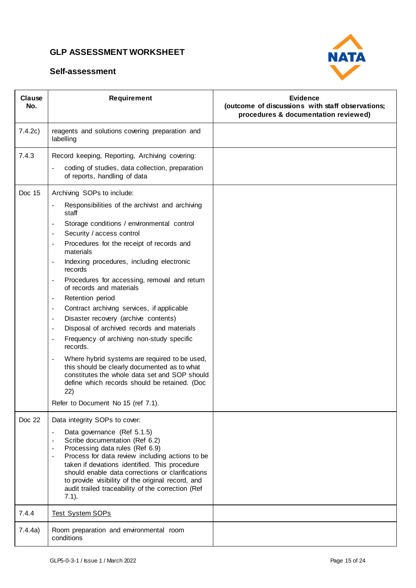

| Clause<br>No. | Requirement                                                                                                                                                                                                                                                                                                                                                                                                                                                                                                                                                                                                                                                                                                                                                                                                                                                                                                                                                                                                                                            | Evidence<br>(outcome of discussions with staff observations;<br>procedures & documentation reviewed) |
|---------------|--------------------------------------------------------------------------------------------------------------------------------------------------------------------------------------------------------------------------------------------------------------------------------------------------------------------------------------------------------------------------------------------------------------------------------------------------------------------------------------------------------------------------------------------------------------------------------------------------------------------------------------------------------------------------------------------------------------------------------------------------------------------------------------------------------------------------------------------------------------------------------------------------------------------------------------------------------------------------------------------------------------------------------------------------------|------------------------------------------------------------------------------------------------------|
| 7.4.2c)       | reagents and solutions covering preparation and<br>labelling                                                                                                                                                                                                                                                                                                                                                                                                                                                                                                                                                                                                                                                                                                                                                                                                                                                                                                                                                                                           |                                                                                                      |
| 7.4.3         | Record keeping, Reporting, Archiving covering:<br>coding of studies, data collection, preparation<br>of reports, handling of data                                                                                                                                                                                                                                                                                                                                                                                                                                                                                                                                                                                                                                                                                                                                                                                                                                                                                                                      |                                                                                                      |
| Doc 15        | Archiving SOPs to include:<br>Responsibilities of the archivist and archiving<br>staff<br>Storage conditions / environmental control<br>$\overline{\phantom{a}}$<br>Security / access control<br>$\sim$<br>Procedures for the receipt of records and<br>$\overline{\phantom{a}}$<br>materials<br>Indexing procedures, including electronic<br>$\overline{\phantom{a}}$<br>records<br>Procedures for accessing, removal and return<br>of records and materials<br>Retention period<br>$\overline{\phantom{a}}$<br>Contract archiving services, if applicable<br>$\blacksquare$<br>Disaster recovery (archive contents)<br>$\overline{\phantom{a}}$<br>Disposal of archived records and materials<br>$\blacksquare$<br>Frequency of archiving non-study specific<br>records.<br>Where hybrid systems are required to be used,<br>$\overline{\phantom{a}}$<br>this should be clearly documented as to what<br>constitutes the whole data set and SOP should<br>define which records should be retained. (Doc<br>22)<br>Refer to Document No 15 (ref 7.1). |                                                                                                      |
| Doc 22        | Data integrity SOPs to cover:<br>Data governance (Ref 5.1.5)<br>$\overline{\phantom{a}}$<br>Scribe documentation (Ref 6.2)<br>Processing data rules (Ref 6.9)<br>Process for data review including actions to be<br>taken if deviations identified. This procedure<br>should enable data corrections or clarifications<br>to provide visibility of the original record, and<br>audit trailed traceability of the correction (Ref<br>$7.1$ ).                                                                                                                                                                                                                                                                                                                                                                                                                                                                                                                                                                                                           |                                                                                                      |
| 7.4.4         | <b>Test System SOPs</b>                                                                                                                                                                                                                                                                                                                                                                                                                                                                                                                                                                                                                                                                                                                                                                                                                                                                                                                                                                                                                                |                                                                                                      |
| 7.4.4a)       | Room preparation and environmental room<br>conditions                                                                                                                                                                                                                                                                                                                                                                                                                                                                                                                                                                                                                                                                                                                                                                                                                                                                                                                                                                                                  |                                                                                                      |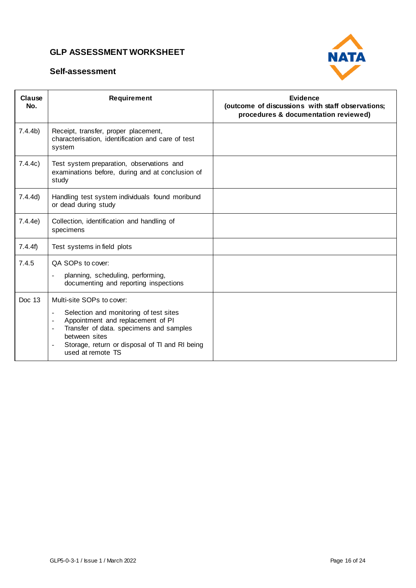



| Clause<br>No.      | Requirement                                                                                                                                                                                                                                                                                         | <b>Evidence</b><br>(outcome of discussions with staff observations;<br>procedures & documentation reviewed) |
|--------------------|-----------------------------------------------------------------------------------------------------------------------------------------------------------------------------------------------------------------------------------------------------------------------------------------------------|-------------------------------------------------------------------------------------------------------------|
| 7.4.4 <sub>b</sub> | Receipt, transfer, proper placement,<br>characterisation, identification and care of test<br>system                                                                                                                                                                                                 |                                                                                                             |
| 7.4.4c)            | Test system preparation, observations and<br>examinations before, during and at conclusion of<br>study                                                                                                                                                                                              |                                                                                                             |
| 7.4.4d)            | Handling test system individuals found moribund<br>or dead during study                                                                                                                                                                                                                             |                                                                                                             |
| 7.4.4e)            | Collection, identification and handling of<br>specimens                                                                                                                                                                                                                                             |                                                                                                             |
| 7.4.4f             | Test systems in field plots                                                                                                                                                                                                                                                                         |                                                                                                             |
| 7.4.5              | QA SOPs to cover:<br>planning, scheduling, performing,<br>documenting and reporting inspections                                                                                                                                                                                                     |                                                                                                             |
| Doc 13             | Multi-site SOPs to cover:<br>Selection and monitoring of test sites<br>Appointment and replacement of PI<br>Transfer of data. specimens and samples<br>$\overline{\phantom{a}}$<br>between sites<br>Storage, return or disposal of TI and RI being<br>$\overline{\phantom{a}}$<br>used at remote TS |                                                                                                             |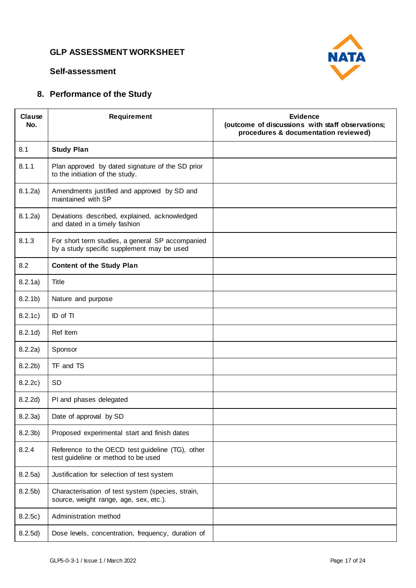

#### **Self-assessment**

# **8. Performance of the Study**

| Clause<br>No.      | <b>Requirement</b>                                                                             | <b>Evidence</b><br>(outcome of discussions with staff observations;<br>procedures & documentation reviewed) |
|--------------------|------------------------------------------------------------------------------------------------|-------------------------------------------------------------------------------------------------------------|
| 8.1                | <b>Study Plan</b>                                                                              |                                                                                                             |
| 8.1.1              | Plan approved by dated signature of the SD prior<br>to the initiation of the study.            |                                                                                                             |
| 8.1.2a)            | Amendments justified and approved by SD and<br>maintained with SP                              |                                                                                                             |
| 8.1.2a)            | Deviations described, explained, acknowledged<br>and dated in a timely fashion                 |                                                                                                             |
| 8.1.3              | For short term studies, a general SP accompanied<br>by a study specific supplement may be used |                                                                                                             |
| 8.2                | <b>Content of the Study Plan</b>                                                               |                                                                                                             |
| 8.2.1a)            | Title                                                                                          |                                                                                                             |
| 8.2.1 <sub>b</sub> | Nature and purpose                                                                             |                                                                                                             |
| 8.2.1c)            | ID of TI                                                                                       |                                                                                                             |
| 8.2.1d)            | Ref Item                                                                                       |                                                                                                             |
| 8.2.2a)            | Sponsor                                                                                        |                                                                                                             |
| 8.2.2 <sub>b</sub> | TF and TS                                                                                      |                                                                                                             |
| 8.2.2c)            | SD                                                                                             |                                                                                                             |
| 8.2.2d)            | PI and phases delegated                                                                        |                                                                                                             |
| 8.2.3a)            | Date of approval by SD                                                                         |                                                                                                             |
| 8.2.3 <sub>b</sub> | Proposed experimental start and finish dates                                                   |                                                                                                             |
| 8.2.4              | Reference to the OECD test guideline (TG), other<br>test guideline or method to be used        |                                                                                                             |
| 8.2.5a)            | Justification for selection of test system                                                     |                                                                                                             |
| 8.2.5 <sub>b</sub> | Characterisation of test system (species, strain,<br>source, weight range, age, sex, etc.).    |                                                                                                             |
| 8.2.5c)            | Administration method                                                                          |                                                                                                             |
| 8.2.5d)            | Dose levels, concentration, frequency, duration of                                             |                                                                                                             |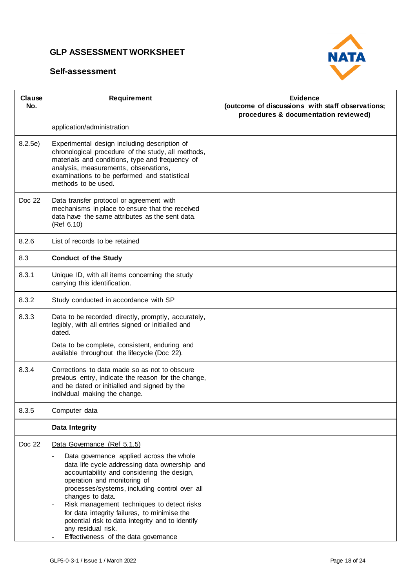



| Clause<br>No. | <b>Requirement</b>                                                                                                                                                                                                                                                                                                                                                                                                                                                                                                  | <b>Evidence</b><br>(outcome of discussions with staff observations;<br>procedures & documentation reviewed) |
|---------------|---------------------------------------------------------------------------------------------------------------------------------------------------------------------------------------------------------------------------------------------------------------------------------------------------------------------------------------------------------------------------------------------------------------------------------------------------------------------------------------------------------------------|-------------------------------------------------------------------------------------------------------------|
|               | application/administration                                                                                                                                                                                                                                                                                                                                                                                                                                                                                          |                                                                                                             |
| 8.2.5e)       | Experimental design including description of<br>chronological procedure of the study, all methods,<br>materials and conditions, type and frequency of<br>analysis, measurements, observations,<br>examinations to be performed and statistical<br>methods to be used.                                                                                                                                                                                                                                               |                                                                                                             |
| Doc 22        | Data transfer protocol or agreement with<br>mechanisms in place to ensure that the received<br>data have the same attributes as the sent data.<br>(Ref 6.10)                                                                                                                                                                                                                                                                                                                                                        |                                                                                                             |
| 8.2.6         | List of records to be retained                                                                                                                                                                                                                                                                                                                                                                                                                                                                                      |                                                                                                             |
| 8.3           | <b>Conduct of the Study</b>                                                                                                                                                                                                                                                                                                                                                                                                                                                                                         |                                                                                                             |
| 8.3.1         | Unique ID, with all items concerning the study<br>carrying this identification.                                                                                                                                                                                                                                                                                                                                                                                                                                     |                                                                                                             |
| 8.3.2         | Study conducted in accordance with SP                                                                                                                                                                                                                                                                                                                                                                                                                                                                               |                                                                                                             |
| 8.3.3         | Data to be recorded directly, promptly, accurately,<br>legibly, with all entries signed or initialled and<br>dated.                                                                                                                                                                                                                                                                                                                                                                                                 |                                                                                                             |
|               | Data to be complete, consistent, enduring and<br>available throughout the lifecycle (Doc 22).                                                                                                                                                                                                                                                                                                                                                                                                                       |                                                                                                             |
| 8.3.4         | Corrections to data made so as not to obscure<br>previous entry, indicate the reason for the change,<br>and be dated or initialled and signed by the<br>individual making the change.                                                                                                                                                                                                                                                                                                                               |                                                                                                             |
| 8.3.5         | Computer data                                                                                                                                                                                                                                                                                                                                                                                                                                                                                                       |                                                                                                             |
|               | Data Integrity                                                                                                                                                                                                                                                                                                                                                                                                                                                                                                      |                                                                                                             |
| Doc 22        | Data Governance (Ref 5.1.5)                                                                                                                                                                                                                                                                                                                                                                                                                                                                                         |                                                                                                             |
|               | Data governance applied across the whole<br>$\overline{\phantom{a}}$<br>data life cycle addressing data ownership and<br>accountability and considering the design,<br>operation and monitoring of<br>processes/systems, including control over all<br>changes to data.<br>Risk management techniques to detect risks<br>$\overline{\phantom{a}}$<br>for data integrity failures, to minimise the<br>potential risk to data integrity and to identify<br>any residual risk.<br>Effectiveness of the data governance |                                                                                                             |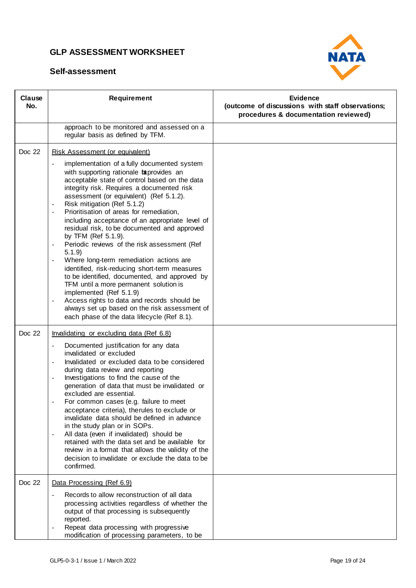

| Clause<br>No. | Requirement                                                                                                                                                                                                                                                                                                                                                                                                                                                                                                                                                                                                                                                                                                                                                                                                                                                                                                                                                                                              | Evidence<br>(outcome of discussions with staff observations;<br>procedures & documentation reviewed) |
|---------------|----------------------------------------------------------------------------------------------------------------------------------------------------------------------------------------------------------------------------------------------------------------------------------------------------------------------------------------------------------------------------------------------------------------------------------------------------------------------------------------------------------------------------------------------------------------------------------------------------------------------------------------------------------------------------------------------------------------------------------------------------------------------------------------------------------------------------------------------------------------------------------------------------------------------------------------------------------------------------------------------------------|------------------------------------------------------------------------------------------------------|
|               | approach to be monitored and assessed on a<br>regular basis as defined by TFM.                                                                                                                                                                                                                                                                                                                                                                                                                                                                                                                                                                                                                                                                                                                                                                                                                                                                                                                           |                                                                                                      |
| Doc 22        | Risk Assessment (or equivalent)<br>implementation of a fully documented system<br>$\overline{\phantom{a}}$<br>with supporting rationale taprovides an<br>acceptable state of control based on the data<br>integrity risk. Requires a documented risk<br>assessment (or equivalent) (Ref 5.1.2).<br>Risk mitigation (Ref 5.1.2)<br>$\overline{\phantom{a}}$<br>Prioritisation of areas for remediation,<br>$\blacksquare$<br>including acceptance of an appropriate level of<br>residual risk, to be documented and approved<br>by TFM (Ref 5.1.9).<br>Periodic reviews of the risk assessment (Ref<br>5.1.9<br>Where long-term remediation actions are<br>identified, risk-reducing short-term measures<br>to be identified, documented, and approved by<br>TFM until a more permanent solution is<br>implemented (Ref 5.1.9)<br>Access rights to data and records should be<br>$\overline{\phantom{a}}$<br>always set up based on the risk assessment of<br>each phase of the data lifecycle (Ref 8.1). |                                                                                                      |
| Doc 22        | Invalidating or excluding data (Ref 6.8)<br>Documented justification for any data<br>invalidated or excluded<br>Invalidated or excluded data to be considered<br>during data review and reporting<br>Investigations to find the cause of the<br>generation of data that must be invalidated or<br>excluded are essential.<br>For common cases (e.g. failure to meet<br>acceptance criteria), therules to exclude or<br>invalidate data should be defined in advance<br>in the study plan or in SOPs.<br>All data (even if invalidated) should be<br>$\overline{\phantom{a}}$<br>retained with the data set and be available for<br>review in a format that allows the validity of the<br>decision to invalidate or exclude the data to be<br>confirmed.                                                                                                                                                                                                                                                  |                                                                                                      |
| Doc 22        | Data Processing (Ref 6.9)<br>Records to allow reconstruction of all data<br>$\overline{a}$<br>processing activities regardless of whether the<br>output of that processing is subsequently<br>reported.<br>Repeat data processing with progressive<br>$\blacksquare$<br>modification of processing parameters, to be                                                                                                                                                                                                                                                                                                                                                                                                                                                                                                                                                                                                                                                                                     |                                                                                                      |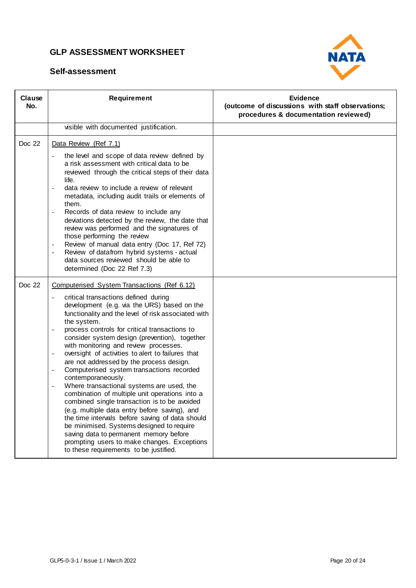

| Clause<br>No. | Requirement                                                                                                                                                                                                                                                                                                                                                                                                                                                                                                                                                                                                                                                                                                                                                                                                                                                                                                                                                                                                        | Evidence<br>(outcome of discussions with staff observations;<br>procedures & documentation reviewed) |
|---------------|--------------------------------------------------------------------------------------------------------------------------------------------------------------------------------------------------------------------------------------------------------------------------------------------------------------------------------------------------------------------------------------------------------------------------------------------------------------------------------------------------------------------------------------------------------------------------------------------------------------------------------------------------------------------------------------------------------------------------------------------------------------------------------------------------------------------------------------------------------------------------------------------------------------------------------------------------------------------------------------------------------------------|------------------------------------------------------------------------------------------------------|
|               | visible with documented justification.                                                                                                                                                                                                                                                                                                                                                                                                                                                                                                                                                                                                                                                                                                                                                                                                                                                                                                                                                                             |                                                                                                      |
| Doc 22        | Data Review (Ref 7.1)<br>the level and scope of data review defined by<br>$\equiv$<br>a risk assessment with critical data to be<br>reviewed through the critical steps of their data<br>life.<br>data review to include a review of relevant<br>$\overline{\phantom{a}}$<br>metadata, including audit trails or elements of<br>them.<br>Records of data review to include any<br>deviations detected by the review, the date that<br>review was performed and the signatures of<br>those performing the review<br>Review of manual data entry (Doc 17, Ref 72)<br>Review of datafrom hybrid systems - actual<br>$\sim$<br>data sources reviewed should be able to<br>determined (Doc 22 Ref 7.3)                                                                                                                                                                                                                                                                                                                  |                                                                                                      |
| Doc 22        | Computerised System Transactions (Ref 6.12)<br>critical transactions defined during<br>$\overline{\phantom{a}}$<br>development (e.g. via the URS) based on the<br>functionality and the level of risk associated with<br>the system.<br>process controls for critical transactions to<br>consider system design (prevention), together<br>with monitoring and review processes.<br>oversight of activities to alert to failures that<br>$\overline{\phantom{a}}$<br>are not addressed by the process design.<br>Computerised system transactions recorded<br>contemporaneously.<br>Where transactional systems are used, the<br>combination of multiple unit operations into a<br>combined single transaction is to be avoided<br>(e.g. multiple data entry before saving), and<br>the time intervals before saving of data should<br>be minimised. Systems designed to require<br>saving data to permanent memory before<br>prompting users to make changes. Exceptions<br>to these requirements to be justified. |                                                                                                      |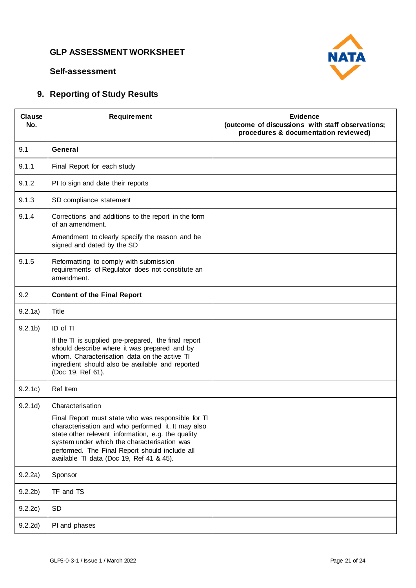

#### **Self-assessment**

# **9. Reporting of Study Results**

| Clause<br>No.      | <b>Requirement</b>                                                                                                                                                                                                                                                                                                              | <b>Evidence</b><br>(outcome of discussions with staff observations;<br>procedures & documentation reviewed) |
|--------------------|---------------------------------------------------------------------------------------------------------------------------------------------------------------------------------------------------------------------------------------------------------------------------------------------------------------------------------|-------------------------------------------------------------------------------------------------------------|
| 9.1                | General                                                                                                                                                                                                                                                                                                                         |                                                                                                             |
| 9.1.1              | Final Report for each study                                                                                                                                                                                                                                                                                                     |                                                                                                             |
| 9.1.2              | PI to sign and date their reports                                                                                                                                                                                                                                                                                               |                                                                                                             |
| 9.1.3              | SD compliance statement                                                                                                                                                                                                                                                                                                         |                                                                                                             |
| 9.1.4              | Corrections and additions to the report in the form<br>of an amendment.<br>Amendment to clearly specify the reason and be                                                                                                                                                                                                       |                                                                                                             |
|                    | signed and dated by the SD                                                                                                                                                                                                                                                                                                      |                                                                                                             |
| 9.1.5              | Reformatting to comply with submission<br>requirements of Regulator does not constitute an<br>amendment.                                                                                                                                                                                                                        |                                                                                                             |
| 9.2                | <b>Content of the Final Report</b>                                                                                                                                                                                                                                                                                              |                                                                                                             |
| 9.2.1a)            | Title                                                                                                                                                                                                                                                                                                                           |                                                                                                             |
| 9.2.1 <sub>b</sub> | ID of TI                                                                                                                                                                                                                                                                                                                        |                                                                                                             |
|                    | If the TI is supplied pre-prepared, the final report<br>should describe where it was prepared and by<br>whom. Characterisation data on the active TI<br>ingredient should also be available and reported<br>(Doc 19, Ref 61).                                                                                                   |                                                                                                             |
| 9.2.1c)            | Ref Item                                                                                                                                                                                                                                                                                                                        |                                                                                                             |
| 9.2.1d)            | Characterisation<br>Final Report must state who was responsible for TI<br>characterisation and who performed it. It may also<br>state other relevant information, e.g. the quality<br>system under which the characterisation was<br>performed. The Final Report should include all<br>available TI data (Doc 19, Ref 41 & 45). |                                                                                                             |
| 9.2.2a)            | Sponsor                                                                                                                                                                                                                                                                                                                         |                                                                                                             |
| 9.2.2 <sub>b</sub> | TF and TS                                                                                                                                                                                                                                                                                                                       |                                                                                                             |
| 9.2.2c)            | SD                                                                                                                                                                                                                                                                                                                              |                                                                                                             |
| 9.2.2d)            | PI and phases                                                                                                                                                                                                                                                                                                                   |                                                                                                             |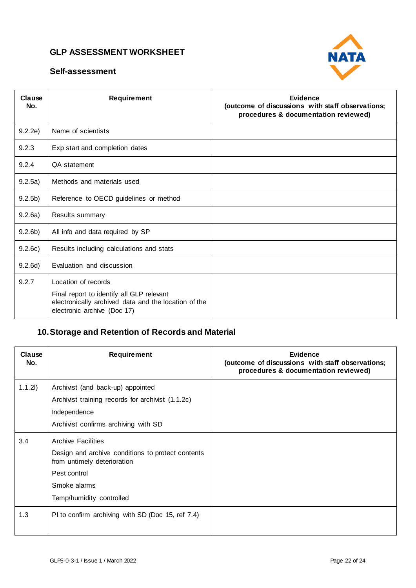



| Clause<br>No.      | Requirement                                                                                                                                             | Evidence<br>(outcome of discussions with staff observations;<br>procedures & documentation reviewed) |
|--------------------|---------------------------------------------------------------------------------------------------------------------------------------------------------|------------------------------------------------------------------------------------------------------|
| 9.2.2e)            | Name of scientists                                                                                                                                      |                                                                                                      |
| 9.2.3              | Exp start and completion dates                                                                                                                          |                                                                                                      |
| 9.2.4              | QA statement                                                                                                                                            |                                                                                                      |
| 9.2.5a)            | Methods and materials used                                                                                                                              |                                                                                                      |
| 9.2.5 <sub>b</sub> | Reference to OECD guidelines or method                                                                                                                  |                                                                                                      |
| 9.2.6a)            | Results summary                                                                                                                                         |                                                                                                      |
| 9.2.6 <sub>b</sub> | All info and data required by SP                                                                                                                        |                                                                                                      |
| 9.2.6c)            | Results including calculations and stats                                                                                                                |                                                                                                      |
| 9.2.6d)            | Evaluation and discussion                                                                                                                               |                                                                                                      |
| 9.2.7              | Location of records<br>Final report to identify all GLP relevant<br>electronically archived data and the location of the<br>electronic archive (Doc 17) |                                                                                                      |

# **10.Storage and Retention of Records and Material**

| Clause<br>No. | Requirement                                                                                                                                                               | <b>Evidence</b><br>(outcome of discussions with staff observations;<br>procedures & documentation reviewed) |
|---------------|---------------------------------------------------------------------------------------------------------------------------------------------------------------------------|-------------------------------------------------------------------------------------------------------------|
| 1.1.21)       | Archivist (and back-up) appointed<br>Archivist training records for archivist (1.1.2c)<br>Independence<br>Archivist confirms archiving with SD                            |                                                                                                             |
| 3.4           | <b>Archive Facilities</b><br>Design and archive conditions to protect contents<br>from untimely deterioration<br>Pest control<br>Smoke alarms<br>Temp/humidity controlled |                                                                                                             |
| 1.3           | PI to confirm archiving with SD (Doc 15, ref 7.4)                                                                                                                         |                                                                                                             |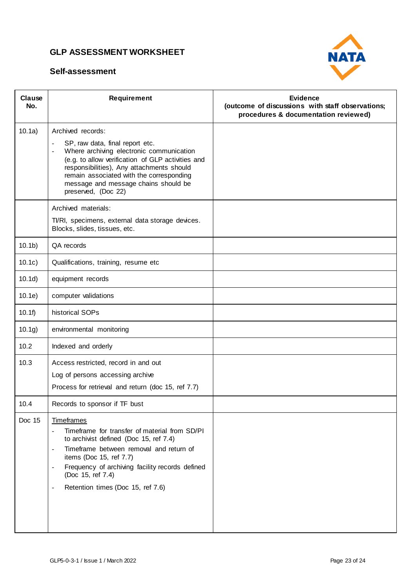

| Clause<br>No.     | Requirement                                                                                                                                                                                                                                                                                                                                      | Evidence<br>(outcome of discussions with staff observations;<br>procedures & documentation reviewed) |
|-------------------|--------------------------------------------------------------------------------------------------------------------------------------------------------------------------------------------------------------------------------------------------------------------------------------------------------------------------------------------------|------------------------------------------------------------------------------------------------------|
| 10.1a)            | Archived records:                                                                                                                                                                                                                                                                                                                                |                                                                                                      |
|                   | SP, raw data, final report etc.<br>$\overline{\phantom{a}}$<br>Where archiving electronic communication<br>$\overline{\phantom{a}}$<br>(e.g. to allow verification of GLP activities and<br>responsibilities), Any attachments should<br>remain associated with the corresponding<br>message and message chains should be<br>preserved, (Doc 22) |                                                                                                      |
|                   | Archived materials:                                                                                                                                                                                                                                                                                                                              |                                                                                                      |
|                   | TI/RI, specimens, external data storage devices.<br>Blocks, slides, tissues, etc.                                                                                                                                                                                                                                                                |                                                                                                      |
| 10.1 <sub>b</sub> | QA records                                                                                                                                                                                                                                                                                                                                       |                                                                                                      |
| 10.1c)            | Qualifications, training, resume etc                                                                                                                                                                                                                                                                                                             |                                                                                                      |
| 10.1d)            | equipment records                                                                                                                                                                                                                                                                                                                                |                                                                                                      |
| 10.1e)            | computer validations                                                                                                                                                                                                                                                                                                                             |                                                                                                      |
| 10.1f             | historical SOPs                                                                                                                                                                                                                                                                                                                                  |                                                                                                      |
| 10.1g)            | environmental monitoring                                                                                                                                                                                                                                                                                                                         |                                                                                                      |
| 10.2              | Indexed and orderly                                                                                                                                                                                                                                                                                                                              |                                                                                                      |
| 10.3              | Access restricted, record in and out                                                                                                                                                                                                                                                                                                             |                                                                                                      |
|                   | Log of persons accessing archive                                                                                                                                                                                                                                                                                                                 |                                                                                                      |
|                   | Process for retrieval and return (doc 15, ref 7.7)                                                                                                                                                                                                                                                                                               |                                                                                                      |
| 10.4              | Records to sponsor if TF bust                                                                                                                                                                                                                                                                                                                    |                                                                                                      |
| Doc 15            | <b>Timeframes</b>                                                                                                                                                                                                                                                                                                                                |                                                                                                      |
|                   | Timeframe for transfer of material from SD/PI<br>$\overline{\phantom{a}}$<br>to archivist defined (Doc 15, ref 7.4)                                                                                                                                                                                                                              |                                                                                                      |
|                   | Timeframe between removal and return of<br>$\overline{\phantom{a}}$<br>items (Doc 15, ref 7.7)                                                                                                                                                                                                                                                   |                                                                                                      |
|                   | Frequency of archiving facility records defined<br>$\overline{\phantom{a}}$<br>(Doc 15, ref 7.4)                                                                                                                                                                                                                                                 |                                                                                                      |
|                   | Retention times (Doc 15, ref 7.6)<br>$\overline{\phantom{a}}$                                                                                                                                                                                                                                                                                    |                                                                                                      |
|                   |                                                                                                                                                                                                                                                                                                                                                  |                                                                                                      |
|                   |                                                                                                                                                                                                                                                                                                                                                  |                                                                                                      |